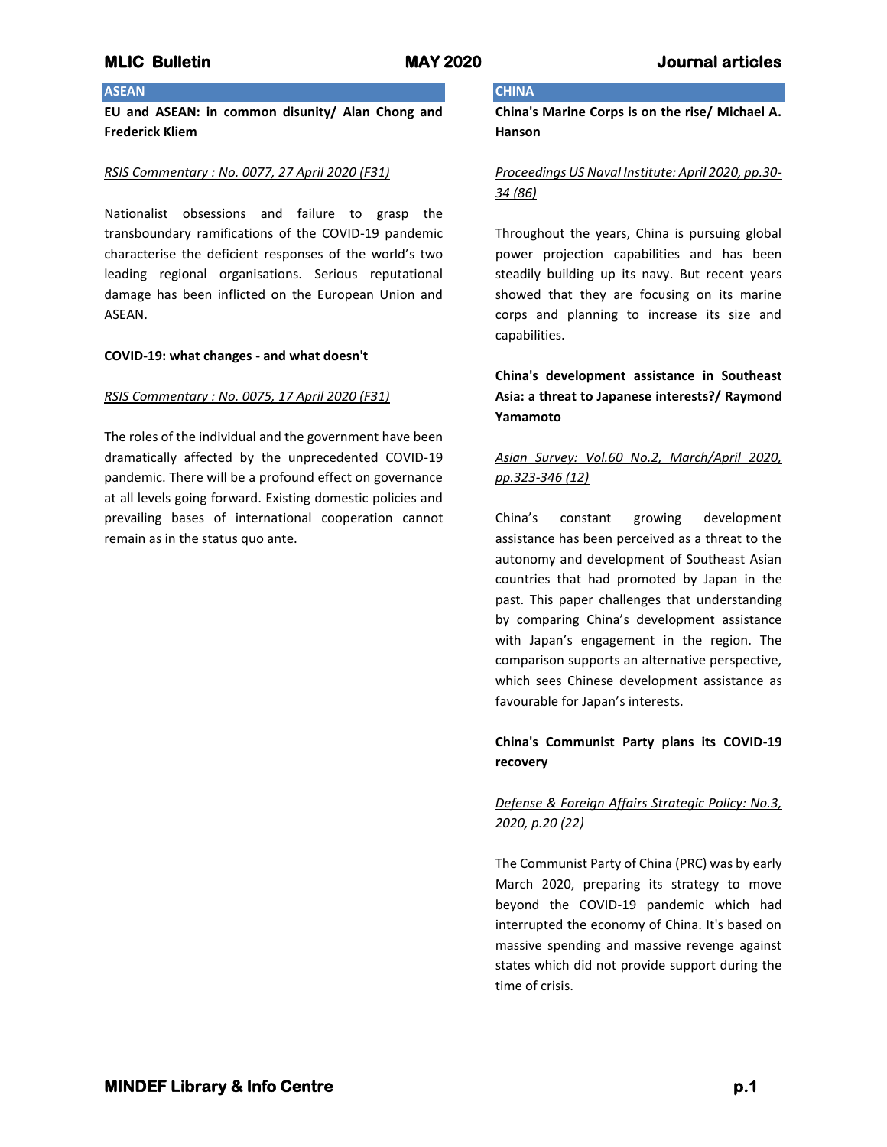## **ASEAN**

**EU and ASEAN: in common disunity/ Alan Chong and Frederick Kliem**

### *RSIS Commentary : No. 0077, 27 April 2020 (F31)*

Nationalist obsessions and failure to grasp the transboundary ramifications of the COVID-19 pandemic characterise the deficient responses of the world's two leading regional organisations. Serious reputational damage has been inflicted on the European Union and ASEAN.

### **COVID-19: what changes - and what doesn't**

### *RSIS Commentary : No. 0075, 17 April 2020 (F31)*

The roles of the individual and the government have been dramatically affected by the unprecedented COVID-19 pandemic. There will be a profound effect on governance at all levels going forward. Existing domestic policies and prevailing bases of international cooperation cannot remain as in the status quo ante.

# **CHINA**

**China's Marine Corps is on the rise/ Michael A. Hanson**

## *Proceedings US Naval Institute: April 2020, pp.30- 34 (86)*

Throughout the years, China is pursuing global power projection capabilities and has been steadily building up its navy. But recent years showed that they are focusing on its marine corps and planning to increase its size and capabilities.

**China's development assistance in Southeast Asia: a threat to Japanese interests?/ Raymond Yamamoto**

# *Asian Survey: Vol.60 No.2, March/April 2020, pp.323-346 (12)*

China's constant growing development assistance has been perceived as a threat to the autonomy and development of Southeast Asian countries that had promoted by Japan in the past. This paper challenges that understanding by comparing China's development assistance with Japan's engagement in the region. The comparison supports an alternative perspective, which sees Chinese development assistance as favourable for Japan's interests.

## **China's Communist Party plans its COVID-19 recovery**

# *Defense & Foreign Affairs Strategic Policy: No.3, 2020, p.20 (22)*

The Communist Party of China (PRC) was by early March 2020, preparing its strategy to move beyond the COVID-19 pandemic which had interrupted the economy of China. It's based on massive spending and massive revenge against states which did not provide support during the time of crisis.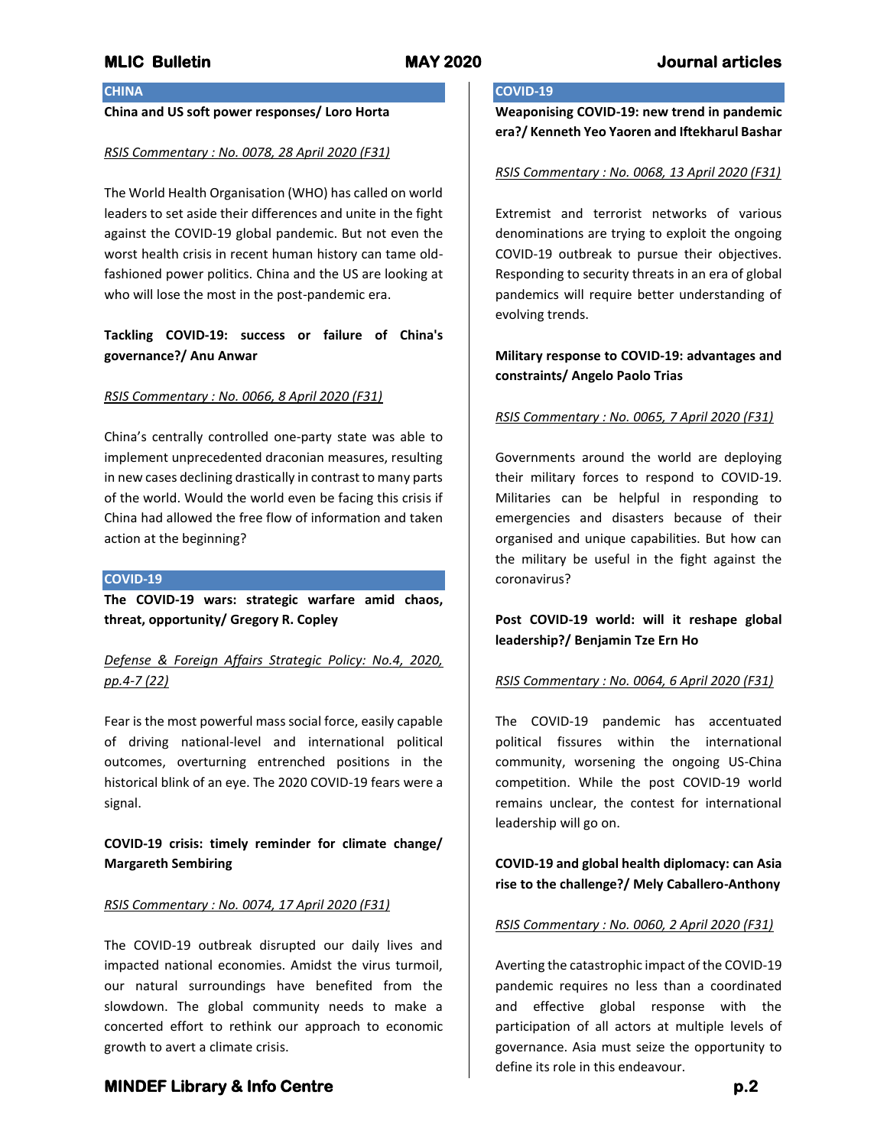## **CHINA**

## **China and US soft power responses/ Loro Horta**

#### *RSIS Commentary : No. 0078, 28 April 2020 (F31)*

The World Health Organisation (WHO) has called on world leaders to set aside their differences and unite in the fight against the COVID-19 global pandemic. But not even the worst health crisis in recent human history can tame oldfashioned power politics. China and the US are looking at who will lose the most in the post-pandemic era.

## **Tackling COVID-19: success or failure of China's governance?/ Anu Anwar**

#### *RSIS Commentary : No. 0066, 8 April 2020 (F31)*

China's centrally controlled one-party state was able to implement unprecedented draconian measures, resulting in new cases declining drastically in contrast to many parts of the world. Would the world even be facing this crisis if China had allowed the free flow of information and taken action at the beginning?

#### **COVID-19**

**The COVID-19 wars: strategic warfare amid chaos, threat, opportunity/ Gregory R. Copley**

# *Defense & Foreign Affairs Strategic Policy: No.4, 2020, pp.4-7 (22)*

Fear is the most powerful mass social force, easily capable of driving national-level and international political outcomes, overturning entrenched positions in the historical blink of an eye. The 2020 COVID-19 fears were a signal.

## **COVID-19 crisis: timely reminder for climate change/ Margareth Sembiring**

#### *RSIS Commentary : No. 0074, 17 April 2020 (F31)*

The COVID-19 outbreak disrupted our daily lives and impacted national economies. Amidst the virus turmoil, our natural surroundings have benefited from the slowdown. The global community needs to make a concerted effort to rethink our approach to economic growth to avert a climate crisis.

# **COVID-19**

**Weaponising COVID-19: new trend in pandemic era?/ Kenneth Yeo Yaoren and Iftekharul Bashar**

#### *RSIS Commentary : No. 0068, 13 April 2020 (F31)*

Extremist and terrorist networks of various denominations are trying to exploit the ongoing COVID-19 outbreak to pursue their objectives. Responding to security threats in an era of global pandemics will require better understanding of evolving trends.

## **Military response to COVID-19: advantages and constraints/ Angelo Paolo Trias**

#### *RSIS Commentary : No. 0065, 7 April 2020 (F31)*

Governments around the world are deploying their military forces to respond to COVID-19. Militaries can be helpful in responding to emergencies and disasters because of their organised and unique capabilities. But how can the military be useful in the fight against the coronavirus?

# **Post COVID-19 world: will it reshape global leadership?/ Benjamin Tze Ern Ho**

#### *RSIS Commentary : No. 0064, 6 April 2020 (F31)*

The COVID-19 pandemic has accentuated political fissures within the international community, worsening the ongoing US-China competition. While the post COVID-19 world remains unclear, the contest for international leadership will go on.

**COVID-19 and global health diplomacy: can Asia rise to the challenge?/ Mely Caballero-Anthony**

#### *RSIS Commentary : No. 0060, 2 April 2020 (F31)*

Averting the catastrophic impact of the COVID-19 pandemic requires no less than a coordinated and effective global response with the participation of all actors at multiple levels of governance. Asia must seize the opportunity to define its role in this endeavour.

## **MINDEF Library & Info Centre p.2**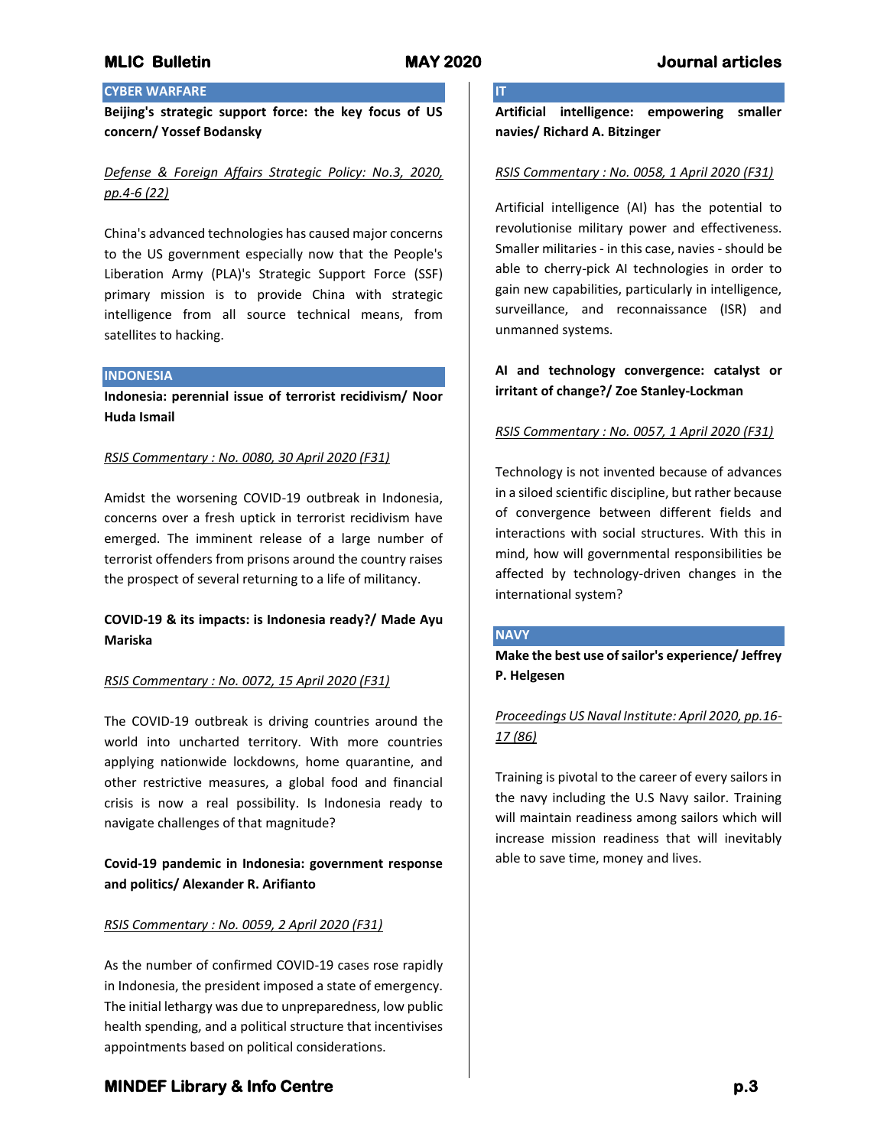**IT**

# **CYBER WARFARE**

**Beijing's strategic support force: the key focus of US concern/ Yossef Bodansky**

# *Defense & Foreign Affairs Strategic Policy: No.3, 2020, pp.4-6 (22)*

China's advanced technologies has caused major concerns to the US government especially now that the People's Liberation Army (PLA)'s Strategic Support Force (SSF) primary mission is to provide China with strategic intelligence from all source technical means, from satellites to hacking.

### **INDONESIA**

**Indonesia: perennial issue of terrorist recidivism/ Noor Huda Ismail**

## *RSIS Commentary : No. 0080, 30 April 2020 (F31)*

Amidst the worsening COVID-19 outbreak in Indonesia, concerns over a fresh uptick in terrorist recidivism have emerged. The imminent release of a large number of terrorist offenders from prisons around the country raises the prospect of several returning to a life of militancy.

## **COVID-19 & its impacts: is Indonesia ready?/ Made Ayu Mariska**

## *RSIS Commentary : No. 0072, 15 April 2020 (F31)*

The COVID-19 outbreak is driving countries around the world into uncharted territory. With more countries applying nationwide lockdowns, home quarantine, and other restrictive measures, a global food and financial crisis is now a real possibility. Is Indonesia ready to navigate challenges of that magnitude?

## **Covid-19 pandemic in Indonesia: government response and politics/ Alexander R. Arifianto**

### *RSIS Commentary : No. 0059, 2 April 2020 (F31)*

As the number of confirmed COVID-19 cases rose rapidly in Indonesia, the president imposed a state of emergency. The initial lethargy was due to unpreparedness, low public health spending, and a political structure that incentivises appointments based on political considerations.

**Artificial intelligence: empowering smaller navies/ Richard A. Bitzinger**

## *RSIS Commentary : No. 0058, 1 April 2020 (F31)*

Artificial intelligence (AI) has the potential to revolutionise military power and effectiveness. Smaller militaries - in this case, navies - should be able to cherry-pick AI technologies in order to gain new capabilities, particularly in intelligence, surveillance, and reconnaissance (ISR) and unmanned systems.

## **AI and technology convergence: catalyst or irritant of change?/ Zoe Stanley-Lockman**

## *RSIS Commentary : No. 0057, 1 April 2020 (F31)*

Technology is not invented because of advances in a siloed scientific discipline, but rather because of convergence between different fields and interactions with social structures. With this in mind, how will governmental responsibilities be affected by technology-driven changes in the international system?

### **NAVY**

**Make the best use of sailor's experience/ Jeffrey P. Helgesen**

# *Proceedings US Naval Institute: April 2020, pp.16- 17 (86)*

Training is pivotal to the career of every sailors in the navy including the U.S Navy sailor. Training will maintain readiness among sailors which will increase mission readiness that will inevitably able to save time, money and lives.

# **MINDEF Library & Info Centre p.3**